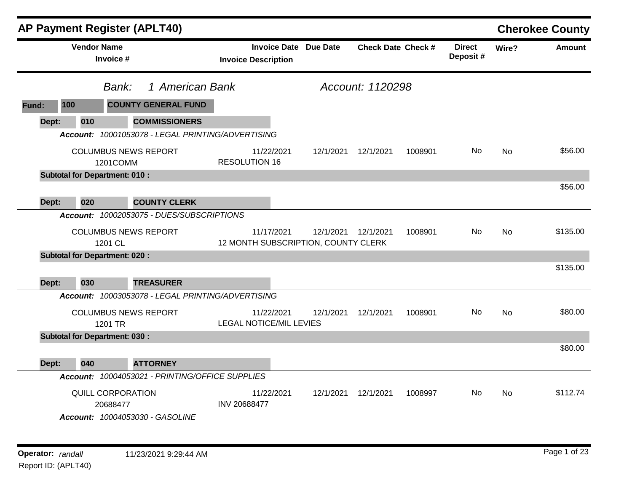|       |                    |                                         | <b>AP Payment Register (APLT40)</b>               |                                |                  |                                                             |                           |         |                           |           | <b>Cherokee County</b> |
|-------|--------------------|-----------------------------------------|---------------------------------------------------|--------------------------------|------------------|-------------------------------------------------------------|---------------------------|---------|---------------------------|-----------|------------------------|
|       | <b>Vendor Name</b> | Invoice #                               |                                                   | <b>Invoice Description</b>     |                  | <b>Invoice Date Due Date</b>                                | <b>Check Date Check #</b> |         | <b>Direct</b><br>Deposit# | Wire?     | <b>Amount</b>          |
|       |                    | Bank:                                   | 1 American Bank                                   |                                | Account: 1120298 |                                                             |                           |         |                           |           |                        |
| Fund: | 100                |                                         | <b>COUNTY GENERAL FUND</b>                        |                                |                  |                                                             |                           |         |                           |           |                        |
| Dept: | 010                |                                         | <b>COMMISSIONERS</b>                              |                                |                  |                                                             |                           |         |                           |           |                        |
|       |                    |                                         | Account: 10001053078 - LEGAL PRINTING/ADVERTISING |                                |                  |                                                             |                           |         |                           |           |                        |
|       |                    | <b>COLUMBUS NEWS REPORT</b><br>1201COMM |                                                   | <b>RESOLUTION 16</b>           | 11/22/2021       | 12/1/2021                                                   | 12/1/2021                 | 1008901 | No.                       | No        | \$56.00                |
|       |                    | <b>Subtotal for Department: 010:</b>    |                                                   |                                |                  |                                                             |                           |         |                           |           |                        |
|       |                    |                                         |                                                   |                                |                  |                                                             |                           |         |                           |           | \$56.00                |
| Dept: | 020                |                                         | <b>COUNTY CLERK</b>                               |                                |                  |                                                             |                           |         |                           |           |                        |
|       |                    |                                         | Account: 10002053075 - DUES/SUBSCRIPTIONS         |                                |                  |                                                             |                           |         |                           |           |                        |
|       |                    | <b>COLUMBUS NEWS REPORT</b><br>1201 CL  |                                                   |                                | 11/17/2021       | 12/1/2021  12/1/2021<br>12 MONTH SUBSCRIPTION, COUNTY CLERK |                           | 1008901 | No.                       | <b>No</b> | \$135.00               |
|       |                    | <b>Subtotal for Department: 020:</b>    |                                                   |                                |                  |                                                             |                           |         |                           |           |                        |
|       |                    |                                         |                                                   |                                |                  |                                                             |                           |         |                           |           | \$135.00               |
| Dept: | 030                |                                         | <b>TREASURER</b>                                  |                                |                  |                                                             |                           |         |                           |           |                        |
|       |                    |                                         | Account: 10003053078 - LEGAL PRINTING/ADVERTISING |                                |                  |                                                             |                           |         |                           |           |                        |
|       |                    | <b>COLUMBUS NEWS REPORT</b><br>1201 TR  |                                                   | <b>LEGAL NOTICE/MIL LEVIES</b> | 11/22/2021       | 12/1/2021                                                   | 12/1/2021                 | 1008901 | No.                       | <b>No</b> | \$80.00                |
|       |                    | <b>Subtotal for Department: 030:</b>    |                                                   |                                |                  |                                                             |                           |         |                           |           |                        |
|       |                    |                                         |                                                   |                                |                  |                                                             |                           |         |                           |           | \$80.00                |
| Dept: | 040                |                                         | <b>ATTORNEY</b>                                   |                                |                  |                                                             |                           |         |                           |           |                        |
|       |                    |                                         | Account: 10004053021 - PRINTING/OFFICE SUPPLIES   |                                |                  |                                                             |                           |         |                           |           |                        |
|       |                    | QUILL CORPORATION<br>20688477           | Account: 10004053030 - GASOLINE                   | INV 20688477                   | 11/22/2021       | 12/1/2021                                                   | 12/1/2021                 | 1008997 | No                        | No        | \$112.74               |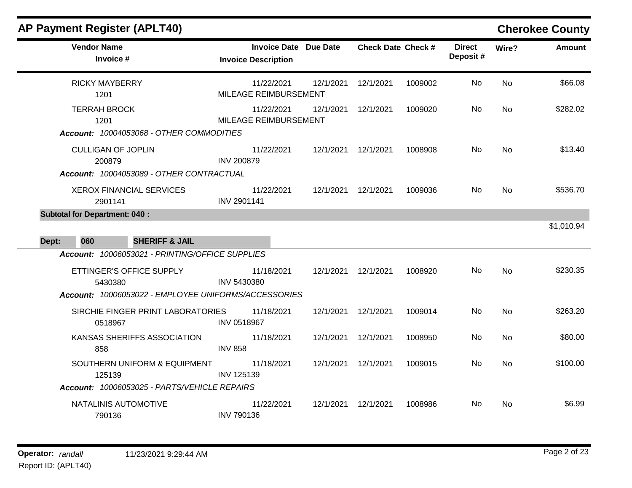÷

| <b>Vendor Name</b><br>Invoice #                                                                                                                | <b>Invoice Date Due Date</b><br><b>Invoice Description</b> |           | <b>Check Date Check #</b> |         | <b>Direct</b><br>Deposit# | Wire?     | <b>Amount</b> |
|------------------------------------------------------------------------------------------------------------------------------------------------|------------------------------------------------------------|-----------|---------------------------|---------|---------------------------|-----------|---------------|
| <b>RICKY MAYBERRY</b><br>1201                                                                                                                  | 11/22/2021<br>MILEAGE REIMBURSEMENT                        | 12/1/2021 | 12/1/2021                 | 1009002 | No                        | No        | \$66.08       |
| <b>TERRAH BROCK</b><br>1201<br>Account: 10004053068 - OTHER COMMODITIES                                                                        | 11/22/2021<br>MILEAGE REIMBURSEMENT                        | 12/1/2021 | 12/1/2021                 | 1009020 | No                        | <b>No</b> | \$282.02      |
| <b>CULLIGAN OF JOPLIN</b><br>200879<br>Account: 10004053089 - OTHER CONTRACTUAL                                                                | 11/22/2021<br><b>INV 200879</b>                            | 12/1/2021 | 12/1/2021                 | 1008908 | No.                       | <b>No</b> | \$13.40       |
| <b>XEROX FINANCIAL SERVICES</b><br>2901141                                                                                                     | 11/22/2021<br>INV 2901141                                  | 12/1/2021 | 12/1/2021                 | 1009036 | No                        | No        | \$536.70      |
| <b>Subtotal for Department: 040:</b><br><b>SHERIFF &amp; JAIL</b><br>060<br>Dept:                                                              |                                                            |           |                           |         |                           |           | \$1,010.94    |
| Account: 10006053021 - PRINTING/OFFICE SUPPLIES<br>ETTINGER'S OFFICE SUPPLY<br>5430380<br>Account: 10006053022 - EMPLOYEE UNIFORMS/ACCESSORIES | 11/18/2021<br>INV 5430380                                  | 12/1/2021 | 12/1/2021                 | 1008920 | No                        | <b>No</b> | \$230.35      |
| SIRCHIE FINGER PRINT LABORATORIES<br>0518967                                                                                                   | 11/18/2021<br>INV 0518967                                  | 12/1/2021 | 12/1/2021                 | 1009014 | No.                       | No        | \$263.20      |
| KANSAS SHERIFFS ASSOCIATION<br>858                                                                                                             | 11/18/2021<br><b>INV 858</b>                               | 12/1/2021 | 12/1/2021                 | 1008950 | No                        | No        | \$80.00       |
| SOUTHERN UNIFORM & EQUIPMENT<br>125139<br>Account: 10006053025 - PARTS/VEHICLE REPAIRS                                                         | 11/18/2021<br><b>INV 125139</b>                            | 12/1/2021 | 12/1/2021                 | 1009015 | No                        | No        | \$100.00      |
| NATALINIS AUTOMOTIVE<br>790136                                                                                                                 | 11/22/2021<br><b>INV 790136</b>                            | 12/1/2021 | 12/1/2021                 | 1008986 | No                        | No        | \$6.99        |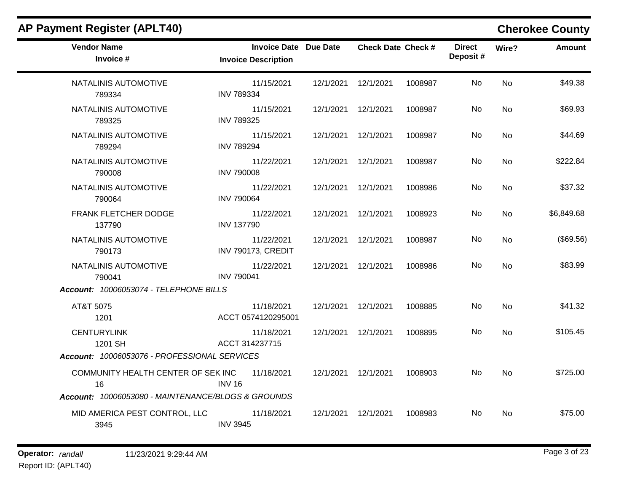| <b>AP Payment Register (APLT40)</b>                |                                                            |           |                           |         |                           |           | <b>Cherokee County</b> |
|----------------------------------------------------|------------------------------------------------------------|-----------|---------------------------|---------|---------------------------|-----------|------------------------|
| <b>Vendor Name</b><br>Invoice #                    | <b>Invoice Date Due Date</b><br><b>Invoice Description</b> |           | <b>Check Date Check #</b> |         | <b>Direct</b><br>Deposit# | Wire?     | <b>Amount</b>          |
| NATALINIS AUTOMOTIVE<br>789334                     | 11/15/2021<br><b>INV 789334</b>                            |           | 12/1/2021  12/1/2021      | 1008987 | No                        | <b>No</b> | \$49.38                |
| NATALINIS AUTOMOTIVE<br>789325                     | 11/15/2021<br><b>INV 789325</b>                            | 12/1/2021 | 12/1/2021                 | 1008987 | No.                       | <b>No</b> | \$69.93                |
| NATALINIS AUTOMOTIVE<br>789294                     | 11/15/2021<br><b>INV 789294</b>                            |           | 12/1/2021  12/1/2021      | 1008987 | No                        | <b>No</b> | \$44.69                |
| NATALINIS AUTOMOTIVE<br>790008                     | 11/22/2021<br><b>INV 790008</b>                            |           | 12/1/2021  12/1/2021      | 1008987 | No.                       | No        | \$222.84               |
| NATALINIS AUTOMOTIVE<br>790064                     | 11/22/2021<br><b>INV 790064</b>                            |           | 12/1/2021  12/1/2021      | 1008986 | No.                       | No.       | \$37.32                |
| FRANK FLETCHER DODGE<br>137790                     | 11/22/2021<br><b>INV 137790</b>                            | 12/1/2021 | 12/1/2021                 | 1008923 | No                        | <b>No</b> | \$6,849.68             |
| NATALINIS AUTOMOTIVE<br>790173                     | 11/22/2021<br>INV 790173, CREDIT                           |           | 12/1/2021  12/1/2021      | 1008987 | No.                       | No        | (\$69.56)              |
| NATALINIS AUTOMOTIVE<br>790041                     | 11/22/2021<br><b>INV 790041</b>                            |           | 12/1/2021  12/1/2021      | 1008986 | No.                       | <b>No</b> | \$83.99                |
| Account: 10006053074 - TELEPHONE BILLS             |                                                            |           |                           |         |                           |           |                        |
| AT&T 5075<br>1201                                  | 11/18/2021<br>ACCT 0574120295001                           |           | 12/1/2021  12/1/2021      | 1008885 | No                        | No.       | \$41.32                |
| <b>CENTURYLINK</b><br>1201 SH                      | 11/18/2021<br>ACCT 314237715                               |           | 12/1/2021  12/1/2021      | 1008895 | No.                       | No        | \$105.45               |
| Account: 10006053076 - PROFESSIONAL SERVICES       |                                                            |           |                           |         |                           |           |                        |
| COMMUNITY HEALTH CENTER OF SEK INC<br>16           | 11/18/2021<br><b>INV 16</b>                                |           | 12/1/2021  12/1/2021      | 1008903 | No.                       | No        | \$725.00               |
| Account: 10006053080 - MAINTENANCE/BLDGS & GROUNDS |                                                            |           |                           |         |                           |           |                        |
| MID AMERICA PEST CONTROL, LLC<br>3945              | 11/18/2021<br><b>INV 3945</b>                              | 12/1/2021 | 12/1/2021                 | 1008983 | No.                       | No        | \$75.00                |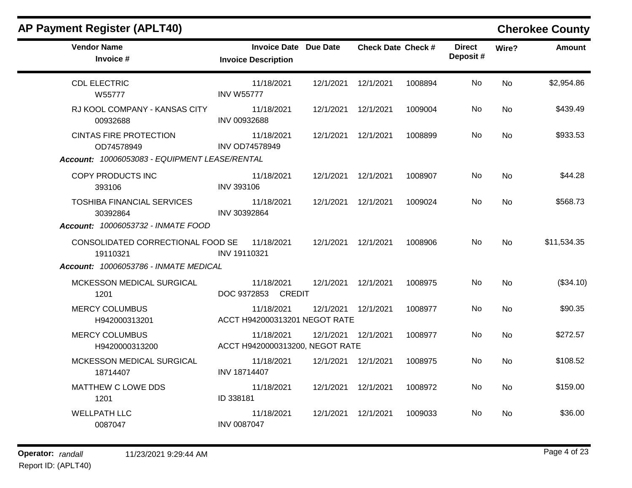| <b>Vendor Name</b>                                  | <b>Invoice Date Due Date</b>                    |                      | <b>Check Date Check #</b> |         | <b>Direct</b> |           | Amount      |
|-----------------------------------------------------|-------------------------------------------------|----------------------|---------------------------|---------|---------------|-----------|-------------|
| Invoice #                                           | <b>Invoice Description</b>                      |                      |                           |         | Deposit#      | Wire?     |             |
| <b>CDL ELECTRIC</b>                                 | 11/18/2021                                      |                      | 12/1/2021  12/1/2021      | 1008894 | No.           | <b>No</b> | \$2,954.86  |
| W55777<br>RJ KOOL COMPANY - KANSAS CITY<br>00932688 | <b>INV W55777</b><br>11/18/2021<br>INV 00932688 | 12/1/2021  12/1/2021 |                           | 1009004 | No.           | <b>No</b> | \$439.49    |
| <b>CINTAS FIRE PROTECTION</b><br>OD74578949         | 11/18/2021<br><b>INV OD74578949</b>             | 12/1/2021  12/1/2021 |                           | 1008899 | No            | <b>No</b> | \$933.53    |
| Account: 10006053083 - EQUIPMENT LEASE/RENTAL       |                                                 |                      |                           |         |               |           |             |
| COPY PRODUCTS INC<br>393106                         | 11/18/2021<br><b>INV 393106</b>                 |                      | 12/1/2021  12/1/2021      | 1008907 | No            | <b>No</b> | \$44.28     |
| <b>TOSHIBA FINANCIAL SERVICES</b><br>30392864       | 11/18/2021<br>INV 30392864                      |                      | 12/1/2021  12/1/2021      | 1009024 | No.           | <b>No</b> | \$568.73    |
| Account: 10006053732 - INMATE FOOD                  |                                                 |                      |                           |         |               |           |             |
| CONSOLIDATED CORRECTIONAL FOOD SE<br>19110321       | 11/18/2021<br><b>INV 19110321</b>               | 12/1/2021  12/1/2021 |                           | 1008906 | No.           | <b>No</b> | \$11,534.35 |
| Account: 10006053786 - INMATE MEDICAL               |                                                 |                      |                           |         |               |           |             |
| MCKESSON MEDICAL SURGICAL<br>1201                   | 11/18/2021<br>DOC 9372853 CREDIT                | 12/1/2021  12/1/2021 |                           | 1008975 | No.           | <b>No</b> | (\$34.10)   |
| <b>MERCY COLUMBUS</b><br>H942000313201              | 11/18/2021<br>ACCT H942000313201 NEGOT RATE     | 12/1/2021  12/1/2021 |                           | 1008977 | No.           | <b>No</b> | \$90.35     |
| <b>MERCY COLUMBUS</b><br>H9420000313200             | 11/18/2021<br>ACCT H9420000313200, NEGOT RATE   | 12/1/2021  12/1/2021 |                           | 1008977 | No            | <b>No</b> | \$272.57    |
| MCKESSON MEDICAL SURGICAL<br>18714407               | 11/18/2021<br>INV 18714407                      | 12/1/2021  12/1/2021 |                           | 1008975 | No.           | <b>No</b> | \$108.52    |
| MATTHEW C LOWE DDS<br>1201                          | 11/18/2021<br>ID 338181                         | 12/1/2021  12/1/2021 |                           | 1008972 | No.           | <b>No</b> | \$159.00    |
| <b>WELLPATH LLC</b><br>0087047                      | 11/18/2021<br><b>INV 0087047</b>                | 12/1/2021  12/1/2021 |                           | 1009033 | No.           | <b>No</b> | \$36.00     |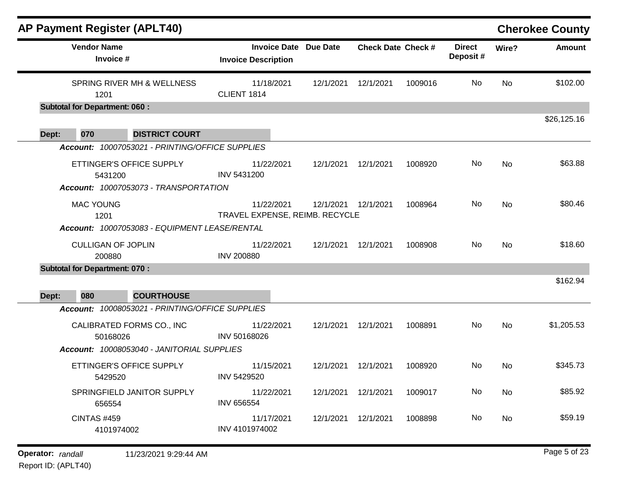|       |                                      | AP Payment Register (APLT40)                                      |                   |                                                            |           |                           |         |                           |           | <b>Cherokee County</b> |
|-------|--------------------------------------|-------------------------------------------------------------------|-------------------|------------------------------------------------------------|-----------|---------------------------|---------|---------------------------|-----------|------------------------|
|       | <b>Vendor Name</b><br>Invoice #      |                                                                   |                   | <b>Invoice Date Due Date</b><br><b>Invoice Description</b> |           | <b>Check Date Check #</b> |         | <b>Direct</b><br>Deposit# | Wire?     | <b>Amount</b>          |
|       | 1201                                 | SPRING RIVER MH & WELLNESS                                        | CLIENT 1814       | 11/18/2021                                                 | 12/1/2021 | 12/1/2021                 | 1009016 | No                        | No        | \$102.00               |
|       | <b>Subtotal for Department: 060:</b> |                                                                   |                   |                                                            |           |                           |         |                           |           |                        |
| Dept: | 070                                  | <b>DISTRICT COURT</b>                                             |                   |                                                            |           |                           |         |                           |           | \$26,125.16            |
|       |                                      | Account: 10007053021 - PRINTING/OFFICE SUPPLIES                   |                   |                                                            |           |                           |         |                           |           |                        |
|       | 5431200                              | ETTINGER'S OFFICE SUPPLY<br>Account: 10007053073 - TRANSPORTATION | INV 5431200       | 11/22/2021                                                 | 12/1/2021 | 12/1/2021                 | 1008920 | No                        | No        | \$63.88                |
|       | <b>MAC YOUNG</b><br>1201             | Account: 10007053083 - EQUIPMENT LEASE/RENTAL                     |                   | 11/22/2021<br>TRAVEL EXPENSE, REIMB. RECYCLE               |           | 12/1/2021  12/1/2021      | 1008964 | No.                       | No        | \$80.46                |
|       | <b>CULLIGAN OF JOPLIN</b><br>200880  |                                                                   | <b>INV 200880</b> | 11/22/2021                                                 | 12/1/2021 | 12/1/2021                 | 1008908 | No.                       | No        | \$18.60                |
|       | <b>Subtotal for Department: 070:</b> |                                                                   |                   |                                                            |           |                           |         |                           |           |                        |
| Dept: | 080                                  | <b>COURTHOUSE</b>                                                 |                   |                                                            |           |                           |         |                           |           | \$162.94               |
|       |                                      | Account: 10008053021 - PRINTING/OFFICE SUPPLIES                   |                   |                                                            |           |                           |         |                           |           |                        |
|       | 50168026                             | CALIBRATED FORMS CO., INC                                         | INV 50168026      | 11/22/2021                                                 | 12/1/2021 | 12/1/2021                 | 1008891 | No                        | <b>No</b> | \$1,205.53             |
|       |                                      | Account: 10008053040 - JANITORIAL SUPPLIES                        |                   |                                                            |           |                           |         |                           |           |                        |
|       | 5429520                              | ETTINGER'S OFFICE SUPPLY                                          | INV 5429520       | 11/15/2021                                                 | 12/1/2021 | 12/1/2021                 | 1008920 | No.                       | No        | \$345.73               |
|       | 656554                               | SPRINGFIELD JANITOR SUPPLY                                        | <b>INV 656554</b> | 11/22/2021                                                 |           | 12/1/2021  12/1/2021      | 1009017 | No                        | No        | \$85.92                |
|       | <b>CINTAS #459</b><br>4101974002     |                                                                   | INV 4101974002    | 11/17/2021                                                 |           | 12/1/2021  12/1/2021      | 1008898 | No                        | No        | \$59.19                |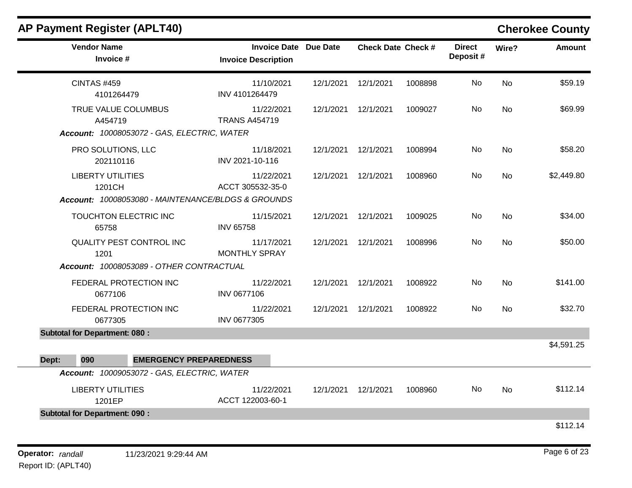| <b>AP Payment Register (APLT40)</b>                |                                                            |           |                           |         |                           |       | <b>Cherokee County</b> |
|----------------------------------------------------|------------------------------------------------------------|-----------|---------------------------|---------|---------------------------|-------|------------------------|
| <b>Vendor Name</b><br>Invoice #                    | <b>Invoice Date Due Date</b><br><b>Invoice Description</b> |           | <b>Check Date Check #</b> |         | <b>Direct</b><br>Deposit# | Wire? | Amount                 |
| <b>CINTAS #459</b><br>4101264479                   | 11/10/2021<br>INV 4101264479                               | 12/1/2021 | 12/1/2021                 | 1008898 | No                        | No    | \$59.19                |
| TRUE VALUE COLUMBUS<br>A454719                     | 11/22/2021<br><b>TRANS A454719</b>                         | 12/1/2021 | 12/1/2021                 | 1009027 | No                        | No    | \$69.99                |
| Account: 10008053072 - GAS, ELECTRIC, WATER        |                                                            |           |                           |         |                           |       |                        |
| PRO SOLUTIONS, LLC<br>202110116                    | 11/18/2021<br>INV 2021-10-116                              | 12/1/2021 | 12/1/2021                 | 1008994 | No                        | No    | \$58.20                |
| <b>LIBERTY UTILITIES</b><br>1201CH                 | 11/22/2021<br>ACCT 305532-35-0                             | 12/1/2021 | 12/1/2021                 | 1008960 | No                        | No    | \$2,449.80             |
| Account: 10008053080 - MAINTENANCE/BLDGS & GROUNDS |                                                            |           |                           |         |                           |       |                        |
| TOUCHTON ELECTRIC INC<br>65758                     | 11/15/2021<br><b>INV 65758</b>                             | 12/1/2021 | 12/1/2021                 | 1009025 | No                        | No    | \$34.00                |
| QUALITY PEST CONTROL INC<br>1201                   | 11/17/2021<br><b>MONTHLY SPRAY</b>                         | 12/1/2021 | 12/1/2021                 | 1008996 | No                        | No    | \$50.00                |
| Account: 10008053089 - OTHER CONTRACTUAL           |                                                            |           |                           |         |                           |       |                        |
| FEDERAL PROTECTION INC<br>0677106                  | 11/22/2021<br>INV 0677106                                  | 12/1/2021 | 12/1/2021                 | 1008922 | No                        | No    | \$141.00               |
| FEDERAL PROTECTION INC<br>0677305                  | 11/22/2021<br>INV 0677305                                  | 12/1/2021 | 12/1/2021                 | 1008922 | No                        | No    | \$32.70                |
| <b>Subtotal for Department: 080:</b>               |                                                            |           |                           |         |                           |       |                        |
|                                                    |                                                            |           |                           |         |                           |       | \$4,591.25             |
| 090<br><b>EMERGENCY PREPAREDNESS</b><br>Dept:      |                                                            |           |                           |         |                           |       |                        |
| Account: 10009053072 - GAS, ELECTRIC, WATER        |                                                            |           |                           |         |                           |       |                        |
| <b>LIBERTY UTILITIES</b><br>1201EP                 | 11/22/2021<br>ACCT 122003-60-1                             | 12/1/2021 | 12/1/2021                 | 1008960 | No                        | No    | \$112.14               |
| <b>Subtotal for Department: 090:</b>               |                                                            |           |                           |         |                           |       |                        |
|                                                    |                                                            |           |                           |         |                           |       | \$112.14               |

### **Operator:** randall 11/23/2021 9:29:44 AM *Page 6 of 23 Page 6 of 23* Report ID: (APLT40)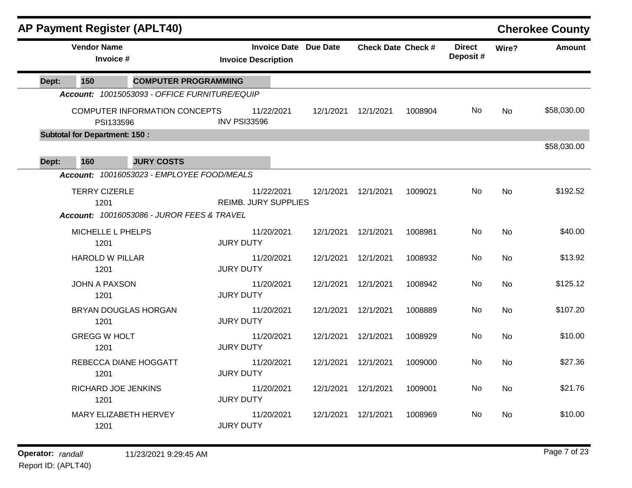| <b>AP Payment Register (APLT40)</b>  |                                                       |                                                            |           |                           |         |                           |           | <b>Cherokee County</b> |
|--------------------------------------|-------------------------------------------------------|------------------------------------------------------------|-----------|---------------------------|---------|---------------------------|-----------|------------------------|
| <b>Vendor Name</b>                   | Invoice #                                             | <b>Invoice Date Due Date</b><br><b>Invoice Description</b> |           | <b>Check Date Check #</b> |         | <b>Direct</b><br>Deposit# | Wire?     | <b>Amount</b>          |
| 150<br>Dept:                         | <b>COMPUTER PROGRAMMING</b>                           |                                                            |           |                           |         |                           |           |                        |
|                                      | Account: 10015053093 - OFFICE FURNITURE/EQUIP         |                                                            |           |                           |         |                           |           |                        |
|                                      | <b>COMPUTER INFORMATION CONCEPTS</b><br>PSI133596     | 11/22/2021<br><b>INV PSI33596</b>                          | 12/1/2021 | 12/1/2021                 | 1008904 | No                        | <b>No</b> | \$58,030.00            |
| <b>Subtotal for Department: 150:</b> |                                                       |                                                            |           |                           |         |                           |           |                        |
| 160<br>Dept:                         | <b>JURY COSTS</b>                                     |                                                            |           |                           |         |                           |           | \$58,030.00            |
|                                      | Account: 10016053023 - EMPLOYEE FOOD/MEALS            |                                                            |           |                           |         |                           |           |                        |
| <b>TERRY CIZERLE</b><br>1201         |                                                       | 11/22/2021<br><b>REIMB. JURY SUPPLIES</b>                  | 12/1/2021 | 12/1/2021                 | 1009021 | No                        | <b>No</b> | \$192.52               |
|                                      | <b>Account: 10016053086 - JUROR FEES &amp; TRAVEL</b> |                                                            |           |                           |         |                           |           |                        |
| 1201                                 | MICHELLE L PHELPS                                     | 11/20/2021<br><b>JURY DUTY</b>                             | 12/1/2021 | 12/1/2021                 | 1008981 | No                        | <b>No</b> | \$40.00                |
| <b>HAROLD W PILLAR</b><br>1201       |                                                       | 11/20/2021<br><b>JURY DUTY</b>                             | 12/1/2021 | 12/1/2021                 | 1008932 | No.                       | No        | \$13.92                |
| <b>JOHN A PAXSON</b>                 |                                                       | 11/20/2021                                                 | 12/1/2021 | 12/1/2021                 | 1008942 | No                        | No        | \$125.12               |
| 1201                                 |                                                       | <b>JURY DUTY</b>                                           |           |                           |         |                           |           |                        |
| 1201                                 | <b>BRYAN DOUGLAS HORGAN</b>                           | 11/20/2021<br><b>JURY DUTY</b>                             | 12/1/2021 | 12/1/2021                 | 1008889 | No                        | <b>No</b> | \$107.20               |
| <b>GREGG W HOLT</b><br>1201          |                                                       | 11/20/2021<br><b>JURY DUTY</b>                             | 12/1/2021 | 12/1/2021                 | 1008929 | No                        | No        | \$10.00                |
| 1201                                 | REBECCA DIANE HOGGATT                                 | 11/20/2021<br><b>JURY DUTY</b>                             | 12/1/2021 | 12/1/2021                 | 1009000 | No                        | No        | \$27.36                |
| 1201                                 | RICHARD JOE JENKINS                                   | 11/20/2021<br><b>JURY DUTY</b>                             | 12/1/2021 | 12/1/2021                 | 1009001 | No.                       | No        | \$21.76                |
| 1201                                 | MARY ELIZABETH HERVEY                                 | 11/20/2021<br><b>JURY DUTY</b>                             | 12/1/2021 | 12/1/2021                 | 1008969 | No                        | No        | \$10.00                |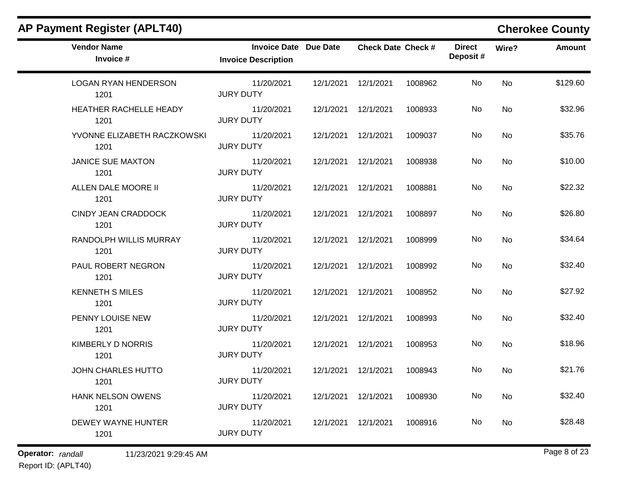| <b>Vendor Name</b><br>Invoice #     | <b>Invoice Date Due Date</b><br><b>Invoice Description</b> |                      | <b>Check Date Check #</b> |         | <b>Direct</b><br>Deposit# | Wire?     | <b>Amount</b> |
|-------------------------------------|------------------------------------------------------------|----------------------|---------------------------|---------|---------------------------|-----------|---------------|
| <b>LOGAN RYAN HENDERSON</b><br>1201 | 11/20/2021<br><b>JURY DUTY</b>                             | 12/1/2021            | 12/1/2021                 | 1008962 | No.                       | <b>No</b> | \$129.60      |
| HEATHER RACHELLE HEADY<br>1201      | 11/20/2021<br><b>JURY DUTY</b>                             |                      | 12/1/2021  12/1/2021      | 1008933 | No.                       | No        | \$32.96       |
| YVONNE ELIZABETH RACZKOWSKI<br>1201 | 11/20/2021<br><b>JURY DUTY</b>                             |                      | 12/1/2021  12/1/2021      | 1009037 | No                        | No        | \$35.76       |
| <b>JANICE SUE MAXTON</b><br>1201    | 11/20/2021<br><b>JURY DUTY</b>                             | 12/1/2021  12/1/2021 |                           | 1008938 | No.                       | No        | \$10.00       |
| ALLEN DALE MOORE II<br>1201         | 11/20/2021<br><b>JURY DUTY</b>                             | 12/1/2021            | 12/1/2021                 | 1008881 | No                        | <b>No</b> | \$22.32       |
| <b>CINDY JEAN CRADDOCK</b><br>1201  | 11/20/2021<br><b>JURY DUTY</b>                             | 12/1/2021            | 12/1/2021                 | 1008897 | No                        | <b>No</b> | \$26.80       |
| RANDOLPH WILLIS MURRAY<br>1201      | 11/20/2021<br><b>JURY DUTY</b>                             |                      | 12/1/2021  12/1/2021      | 1008999 | No                        | <b>No</b> | \$34.64       |
| PAUL ROBERT NEGRON<br>1201          | 11/20/2021<br><b>JURY DUTY</b>                             | 12/1/2021  12/1/2021 |                           | 1008992 | No                        | <b>No</b> | \$32.40       |
| <b>KENNETH S MILES</b><br>1201      | 11/20/2021<br><b>JURY DUTY</b>                             | 12/1/2021  12/1/2021 |                           | 1008952 | No                        | <b>No</b> | \$27.92       |
| PENNY LOUISE NEW<br>1201            | 11/20/2021<br><b>JURY DUTY</b>                             |                      | 12/1/2021  12/1/2021      | 1008993 | No.                       | <b>No</b> | \$32.40       |
| <b>KIMBERLY D NORRIS</b><br>1201    | 11/20/2021<br><b>JURY DUTY</b>                             |                      | 12/1/2021  12/1/2021      | 1008953 | No.                       | <b>No</b> | \$18.96       |
| JOHN CHARLES HUTTO<br>1201          | 11/20/2021<br><b>JURY DUTY</b>                             |                      | 12/1/2021  12/1/2021      | 1008943 | No.                       | No        | \$21.76       |
| <b>HANK NELSON OWENS</b><br>1201    | 11/20/2021<br><b>JURY DUTY</b>                             | 12/1/2021  12/1/2021 |                           | 1008930 | No.                       | No        | \$32.40       |
| DEWEY WAYNE HUNTER<br>1201          | 11/20/2021<br><b>JURY DUTY</b>                             | 12/1/2021            | 12/1/2021                 | 1008916 | No.                       | No        | \$28.48       |

# **Operator:** randall 11/23/2021 9:29:45 AM *Page 8 of 23 Page 8 of 23*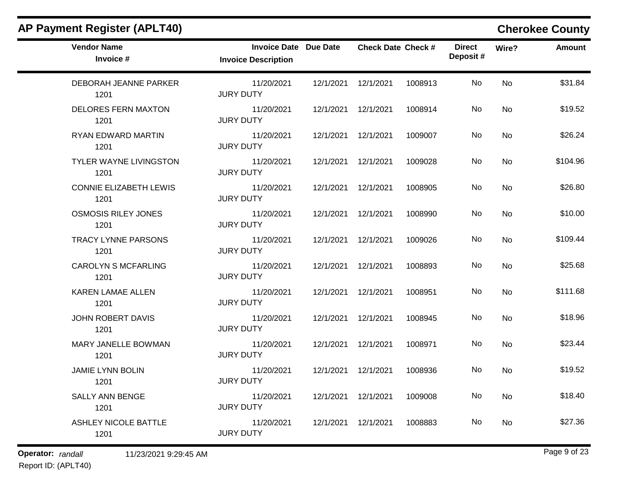| <b>Vendor Name</b><br>Invoice #       | <b>Invoice Date Due Date</b><br><b>Invoice Description</b> |                      | <b>Check Date Check #</b> |         | <b>Direct</b><br>Deposit# | Wire?     | <b>Amount</b> |
|---------------------------------------|------------------------------------------------------------|----------------------|---------------------------|---------|---------------------------|-----------|---------------|
| DEBORAH JEANNE PARKER<br>1201         | 11/20/2021<br><b>JURY DUTY</b>                             | 12/1/2021  12/1/2021 |                           | 1008913 | No                        | <b>No</b> | \$31.84       |
| <b>DELORES FERN MAXTON</b><br>1201    | 11/20/2021<br><b>JURY DUTY</b>                             | 12/1/2021  12/1/2021 |                           | 1008914 | No                        | <b>No</b> | \$19.52       |
| RYAN EDWARD MARTIN<br>1201            | 11/20/2021<br><b>JURY DUTY</b>                             | 12/1/2021  12/1/2021 |                           | 1009007 | No                        | <b>No</b> | \$26.24       |
| TYLER WAYNE LIVINGSTON<br>1201        | 11/20/2021<br><b>JURY DUTY</b>                             | 12/1/2021  12/1/2021 |                           | 1009028 | No                        | <b>No</b> | \$104.96      |
| <b>CONNIE ELIZABETH LEWIS</b><br>1201 | 11/20/2021<br><b>JURY DUTY</b>                             | 12/1/2021  12/1/2021 |                           | 1008905 | No                        | No        | \$26.80       |
| <b>OSMOSIS RILEY JONES</b><br>1201    | 11/20/2021<br><b>JURY DUTY</b>                             | 12/1/2021  12/1/2021 |                           | 1008990 | No                        | <b>No</b> | \$10.00       |
| <b>TRACY LYNNE PARSONS</b><br>1201    | 11/20/2021<br><b>JURY DUTY</b>                             | 12/1/2021  12/1/2021 |                           | 1009026 | No                        | <b>No</b> | \$109.44      |
| <b>CAROLYN S MCFARLING</b><br>1201    | 11/20/2021<br><b>JURY DUTY</b>                             | 12/1/2021  12/1/2021 |                           | 1008893 | No                        | No        | \$25.68       |
| <b>KAREN LAMAE ALLEN</b><br>1201      | 11/20/2021<br><b>JURY DUTY</b>                             | 12/1/2021  12/1/2021 |                           | 1008951 | No                        | <b>No</b> | \$111.68      |
| <b>JOHN ROBERT DAVIS</b><br>1201      | 11/20/2021<br><b>JURY DUTY</b>                             | 12/1/2021  12/1/2021 |                           | 1008945 | No                        | <b>No</b> | \$18.96       |
| MARY JANELLE BOWMAN<br>1201           | 11/20/2021<br><b>JURY DUTY</b>                             | 12/1/2021  12/1/2021 |                           | 1008971 | No                        | <b>No</b> | \$23.44       |
| <b>JAMIE LYNN BOLIN</b><br>1201       | 11/20/2021<br><b>JURY DUTY</b>                             | 12/1/2021  12/1/2021 |                           | 1008936 | No                        | <b>No</b> | \$19.52       |
| <b>SALLY ANN BENGE</b><br>1201        | 11/20/2021<br><b>JURY DUTY</b>                             | 12/1/2021  12/1/2021 |                           | 1009008 | No                        | <b>No</b> | \$18.40       |
| <b>ASHLEY NICOLE BATTLE</b><br>1201   | 11/20/2021<br><b>JURY DUTY</b>                             | 12/1/2021  12/1/2021 |                           | 1008883 | No                        | <b>No</b> | \$27.36       |

**Operator:** randall 11/23/2021 9:29:45 AM *Page 9 of 23 Page 9 of 23*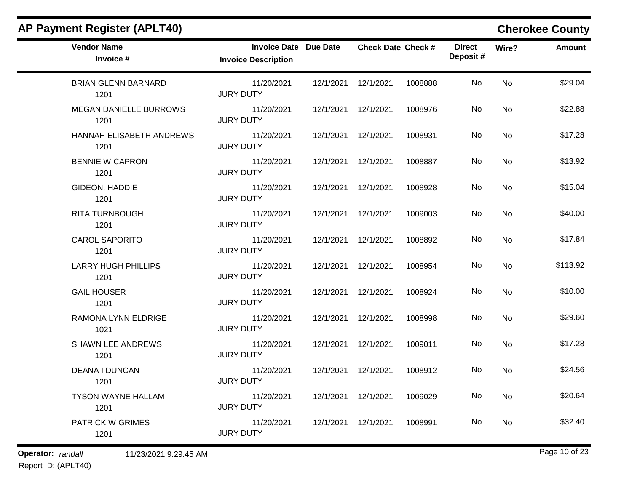| <b>Vendor Name</b><br>Invoice #       | <b>Invoice Date Due Date</b><br><b>Invoice Description</b> |                      | <b>Check Date Check #</b> |         | <b>Direct</b><br>Deposit# | Wire?     | Amount   |
|---------------------------------------|------------------------------------------------------------|----------------------|---------------------------|---------|---------------------------|-----------|----------|
| <b>BRIAN GLENN BARNARD</b><br>1201    | 11/20/2021<br><b>JURY DUTY</b>                             |                      | 12/1/2021  12/1/2021      | 1008888 | <b>No</b>                 | <b>No</b> | \$29.04  |
| <b>MEGAN DANIELLE BURROWS</b><br>1201 | 11/20/2021<br><b>JURY DUTY</b>                             |                      | 12/1/2021  12/1/2021      | 1008976 | No.                       | <b>No</b> | \$22.88  |
| HANNAH ELISABETH ANDREWS<br>1201      | 11/20/2021<br><b>JURY DUTY</b>                             | 12/1/2021  12/1/2021 |                           | 1008931 | No                        | No        | \$17.28  |
| <b>BENNIE W CAPRON</b><br>1201        | 11/20/2021<br><b>JURY DUTY</b>                             | 12/1/2021  12/1/2021 |                           | 1008887 | No.                       | <b>No</b> | \$13.92  |
| GIDEON, HADDIE<br>1201                | 11/20/2021<br><b>JURY DUTY</b>                             | 12/1/2021  12/1/2021 |                           | 1008928 | No                        | No        | \$15.04  |
| <b>RITA TURNBOUGH</b><br>1201         | 11/20/2021<br><b>JURY DUTY</b>                             |                      | 12/1/2021  12/1/2021      | 1009003 | No.                       | <b>No</b> | \$40.00  |
| <b>CAROL SAPORITO</b><br>1201         | 11/20/2021<br><b>JURY DUTY</b>                             |                      | 12/1/2021  12/1/2021      | 1008892 | No.                       | No        | \$17.84  |
| <b>LARRY HUGH PHILLIPS</b><br>1201    | 11/20/2021<br><b>JURY DUTY</b>                             | 12/1/2021  12/1/2021 |                           | 1008954 | No                        | <b>No</b> | \$113.92 |
| <b>GAIL HOUSER</b><br>1201            | 11/20/2021<br><b>JURY DUTY</b>                             | 12/1/2021  12/1/2021 |                           | 1008924 | No.                       | <b>No</b> | \$10.00  |
| RAMONA LYNN ELDRIGE<br>1021           | 11/20/2021<br><b>JURY DUTY</b>                             | 12/1/2021  12/1/2021 |                           | 1008998 | No.                       | <b>No</b> | \$29.60  |
| <b>SHAWN LEE ANDREWS</b><br>1201      | 11/20/2021<br><b>JURY DUTY</b>                             | 12/1/2021  12/1/2021 |                           | 1009011 | No                        | <b>No</b> | \$17.28  |
| <b>DEANA I DUNCAN</b><br>1201         | 11/20/2021<br><b>JURY DUTY</b>                             | 12/1/2021  12/1/2021 |                           | 1008912 | No.                       | <b>No</b> | \$24.56  |
| <b>TYSON WAYNE HALLAM</b><br>1201     | 11/20/2021<br><b>JURY DUTY</b>                             | 12/1/2021  12/1/2021 |                           | 1009029 | No                        | <b>No</b> | \$20.64  |
| <b>PATRICK W GRIMES</b><br>1201       | 11/20/2021<br><b>JURY DUTY</b>                             | 12/1/2021  12/1/2021 |                           | 1008991 | No                        | <b>No</b> | \$32.40  |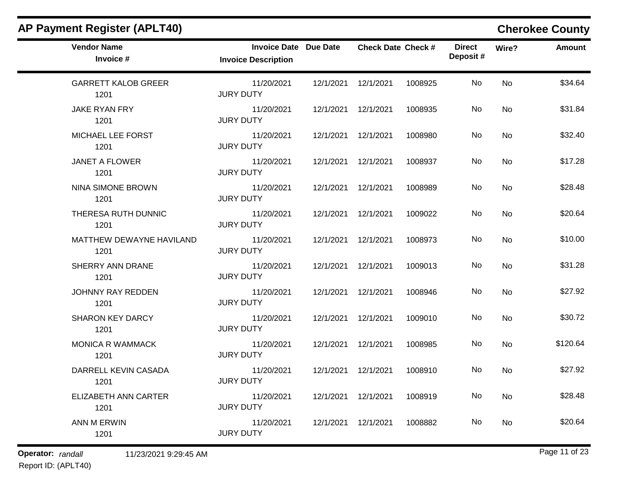| <b>Vendor Name</b><br>Invoice #    | <b>Invoice Date Due Date</b><br><b>Invoice Description</b> |                      | <b>Check Date Check #</b> |         | <b>Direct</b><br>Deposit# | Wire?     | Amount   |
|------------------------------------|------------------------------------------------------------|----------------------|---------------------------|---------|---------------------------|-----------|----------|
| <b>GARRETT KALOB GREER</b><br>1201 | 11/20/2021<br><b>JURY DUTY</b>                             |                      | 12/1/2021  12/1/2021      | 1008925 | No                        | <b>No</b> | \$34.64  |
| JAKE RYAN FRY<br>1201              | 11/20/2021<br><b>JURY DUTY</b>                             |                      | 12/1/2021  12/1/2021      | 1008935 | No.                       | <b>No</b> | \$31.84  |
| MICHAEL LEE FORST<br>1201          | 11/20/2021<br><b>JURY DUTY</b>                             | 12/1/2021  12/1/2021 |                           | 1008980 | No                        | <b>No</b> | \$32.40  |
| <b>JANET A FLOWER</b><br>1201      | 11/20/2021<br><b>JURY DUTY</b>                             | 12/1/2021  12/1/2021 |                           | 1008937 | No                        | <b>No</b> | \$17.28  |
| <b>NINA SIMONE BROWN</b><br>1201   | 11/20/2021<br><b>JURY DUTY</b>                             | 12/1/2021  12/1/2021 |                           | 1008989 | No                        | <b>No</b> | \$28.48  |
| THERESA RUTH DUNNIC<br>1201        | 11/20/2021<br><b>JURY DUTY</b>                             | 12/1/2021  12/1/2021 |                           | 1009022 | No                        | <b>No</b> | \$20.64  |
| MATTHEW DEWAYNE HAVILAND<br>1201   | 11/20/2021<br><b>JURY DUTY</b>                             |                      | 12/1/2021  12/1/2021      | 1008973 | No                        | <b>No</b> | \$10.00  |
| SHERRY ANN DRANE<br>1201           | 11/20/2021<br><b>JURY DUTY</b>                             | 12/1/2021  12/1/2021 |                           | 1009013 | No                        | No        | \$31.28  |
| JOHNNY RAY REDDEN<br>1201          | 11/20/2021<br><b>JURY DUTY</b>                             | 12/1/2021  12/1/2021 |                           | 1008946 | No                        | <b>No</b> | \$27.92  |
| <b>SHARON KEY DARCY</b><br>1201    | 11/20/2021<br><b>JURY DUTY</b>                             |                      | 12/1/2021  12/1/2021      | 1009010 | No                        | No        | \$30.72  |
| <b>MONICA R WAMMACK</b><br>1201    | 11/20/2021<br><b>JURY DUTY</b>                             | 12/1/2021  12/1/2021 |                           | 1008985 | No                        | <b>No</b> | \$120.64 |
| DARRELL KEVIN CASADA<br>1201       | 11/20/2021<br><b>JURY DUTY</b>                             | 12/1/2021  12/1/2021 |                           | 1008910 | No                        | No        | \$27.92  |
| ELIZABETH ANN CARTER<br>1201       | 11/20/2021<br><b>JURY DUTY</b>                             | 12/1/2021  12/1/2021 |                           | 1008919 | No                        | No        | \$28.48  |
| <b>ANN M ERWIN</b><br>1201         | 11/20/2021<br><b>JURY DUTY</b>                             | 12/1/2021  12/1/2021 |                           | 1008882 | No.                       | <b>No</b> | \$20.64  |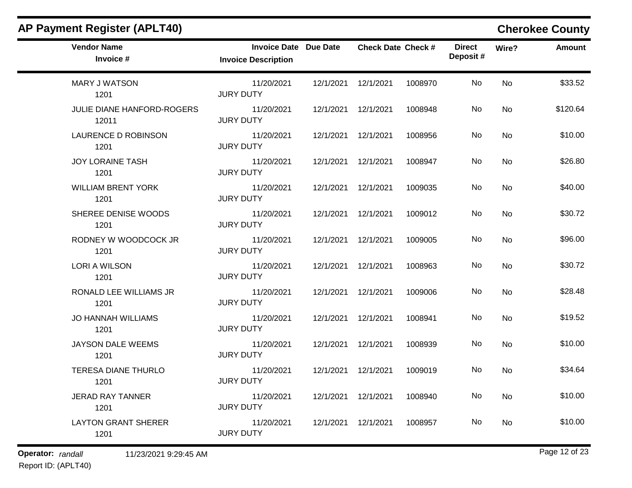|                                |                            |                              |                                                                                                                                                                                                                                                                                                                      | <b>Direct</b><br>Deposit# | Wire?     | <b>Amount</b> |
|--------------------------------|----------------------------|------------------------------|----------------------------------------------------------------------------------------------------------------------------------------------------------------------------------------------------------------------------------------------------------------------------------------------------------------------|---------------------------|-----------|---------------|
| 11/20/2021<br><b>JURY DUTY</b> |                            |                              | 1008970                                                                                                                                                                                                                                                                                                              | <b>No</b>                 | <b>No</b> | \$33.52       |
| 11/20/2021<br><b>JURY DUTY</b> |                            |                              | 1008948                                                                                                                                                                                                                                                                                                              | No                        | <b>No</b> | \$120.64      |
| 11/20/2021<br><b>JURY DUTY</b> |                            |                              | 1008956                                                                                                                                                                                                                                                                                                              | No                        | <b>No</b> | \$10.00       |
| 11/20/2021<br><b>JURY DUTY</b> |                            |                              | 1008947                                                                                                                                                                                                                                                                                                              | No.                       | <b>No</b> | \$26.80       |
| 11/20/2021<br><b>JURY DUTY</b> |                            |                              | 1009035                                                                                                                                                                                                                                                                                                              | No                        | No        | \$40.00       |
| 11/20/2021<br><b>JURY DUTY</b> | 12/1/2021                  | 12/1/2021                    | 1009012                                                                                                                                                                                                                                                                                                              | No.                       | No        | \$30.72       |
| 11/20/2021<br><b>JURY DUTY</b> |                            |                              | 1009005                                                                                                                                                                                                                                                                                                              | No.                       | No        | \$96.00       |
| 11/20/2021<br><b>JURY DUTY</b> |                            |                              | 1008963                                                                                                                                                                                                                                                                                                              | No                        | <b>No</b> | \$30.72       |
| 11/20/2021<br><b>JURY DUTY</b> |                            |                              | 1009006                                                                                                                                                                                                                                                                                                              | No.                       | <b>No</b> | \$28.48       |
| 11/20/2021<br><b>JURY DUTY</b> |                            |                              | 1008941                                                                                                                                                                                                                                                                                                              | No                        | <b>No</b> | \$19.52       |
| 11/20/2021<br><b>JURY DUTY</b> |                            |                              | 1008939                                                                                                                                                                                                                                                                                                              | No                        | <b>No</b> | \$10.00       |
| 11/20/2021<br><b>JURY DUTY</b> |                            |                              | 1009019                                                                                                                                                                                                                                                                                                              | No.                       | No        | \$34.64       |
| 11/20/2021<br><b>JURY DUTY</b> |                            |                              | 1008940                                                                                                                                                                                                                                                                                                              | No                        | <b>No</b> | \$10.00       |
| 11/20/2021<br><b>JURY DUTY</b> |                            |                              | 1008957                                                                                                                                                                                                                                                                                                              | No.                       | <b>No</b> | \$10.00       |
|                                | <b>Invoice Description</b> | <b>Invoice Date Due Date</b> | 12/1/2021  12/1/2021<br>12/1/2021  12/1/2021<br>12/1/2021  12/1/2021<br>12/1/2021  12/1/2021<br>12/1/2021  12/1/2021<br>12/1/2021  12/1/2021<br>12/1/2021  12/1/2021<br>12/1/2021  12/1/2021<br>12/1/2021  12/1/2021<br>12/1/2021  12/1/2021<br>12/1/2021  12/1/2021<br>12/1/2021  12/1/2021<br>12/1/2021  12/1/2021 | <b>Check Date Check #</b> |           |               |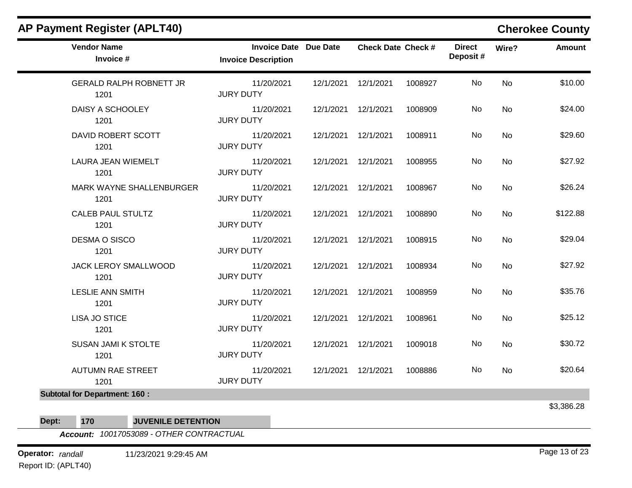| <b>Vendor Name</b><br>Invoice #        | <b>Invoice Date Due Date</b><br><b>Invoice Description</b> |           | <b>Check Date Check #</b> |         | <b>Direct</b><br>Deposit# | Wire?     | <b>Amount</b> |
|----------------------------------------|------------------------------------------------------------|-----------|---------------------------|---------|---------------------------|-----------|---------------|
| <b>GERALD RALPH ROBNETT JR</b><br>1201 | 11/20/2021<br><b>JURY DUTY</b>                             |           | 12/1/2021  12/1/2021      | 1008927 | No                        | No        | \$10.00       |
| DAISY A SCHOOLEY<br>1201               | 11/20/2021<br><b>JURY DUTY</b>                             | 12/1/2021 | 12/1/2021                 | 1008909 | No                        | No        | \$24.00       |
| DAVID ROBERT SCOTT<br>1201             | 11/20/2021<br><b>JURY DUTY</b>                             |           | 12/1/2021  12/1/2021      | 1008911 | No                        | <b>No</b> | \$29.60       |
| LAURA JEAN WIEMELT<br>1201             | 11/20/2021<br><b>JURY DUTY</b>                             |           | 12/1/2021  12/1/2021      | 1008955 | No                        | No        | \$27.92       |
| MARK WAYNE SHALLENBURGER<br>1201       | 11/20/2021<br><b>JURY DUTY</b>                             |           | 12/1/2021  12/1/2021      | 1008967 | No                        | <b>No</b> | \$26.24       |
| <b>CALEB PAUL STULTZ</b><br>1201       | 11/20/2021<br><b>JURY DUTY</b>                             |           | 12/1/2021  12/1/2021      | 1008890 | No                        | <b>No</b> | \$122.88      |
| DESMA O SISCO<br>1201                  | 11/20/2021<br><b>JURY DUTY</b>                             |           | 12/1/2021  12/1/2021      | 1008915 | No                        | <b>No</b> | \$29.04       |
| JACK LEROY SMALLWOOD<br>1201           | 11/20/2021<br><b>JURY DUTY</b>                             |           | 12/1/2021  12/1/2021      | 1008934 | No                        | No        | \$27.92       |
| <b>LESLIE ANN SMITH</b><br>1201        | 11/20/2021<br><b>JURY DUTY</b>                             |           | 12/1/2021  12/1/2021      | 1008959 | No                        | No        | \$35.76       |
| <b>LISA JO STICE</b><br>1201           | 11/20/2021<br><b>JURY DUTY</b>                             | 12/1/2021 | 12/1/2021                 | 1008961 | No                        | <b>No</b> | \$25.12       |
| <b>SUSAN JAMI K STOLTE</b><br>1201     | 11/20/2021<br><b>JURY DUTY</b>                             |           | 12/1/2021  12/1/2021      | 1009018 | No                        | <b>No</b> | \$30.72       |
| <b>AUTUMN RAE STREET</b><br>1201       | 11/20/2021<br><b>JURY DUTY</b>                             |           | 12/1/2021  12/1/2021      | 1008886 | No.                       | No        | \$20.64       |
| <b>Subtotal for Department: 160:</b>   |                                                            |           |                           |         |                           |           | 63 386 28     |

აა,აი**ი.∠**ი

**Dept: 170 JUVENILE DETENTION**

*Account: 10017053089 - OTHER CONTRACTUAL*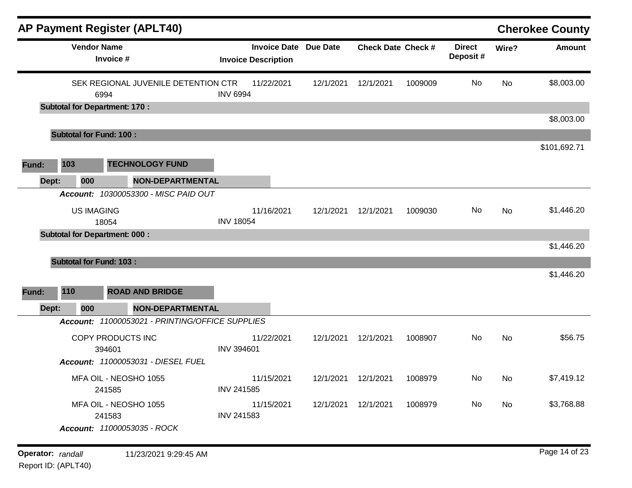|                   |                                | <b>AP Payment Register (APLT40)</b>                            |                                                            |           |                               |         |                           |           | <b>Cherokee County</b> |
|-------------------|--------------------------------|----------------------------------------------------------------|------------------------------------------------------------|-----------|-------------------------------|---------|---------------------------|-----------|------------------------|
|                   | <b>Vendor Name</b>             | Invoice #                                                      | <b>Invoice Date Due Date</b><br><b>Invoice Description</b> |           | <b>Check Date Check #</b>     |         | <b>Direct</b><br>Deposit# | Wire?     | <b>Amount</b>          |
|                   |                                | SEK REGIONAL JUVENILE DETENTION CTR<br>6994                    | 11/22/2021<br><b>INV 6994</b>                              | 12/1/2021 | 12/1/2021                     | 1009009 | No                        | <b>No</b> | \$8,003.00             |
|                   |                                | <b>Subtotal for Department: 170:</b>                           |                                                            |           |                               |         |                           |           | \$8,003.00             |
|                   | <b>Subtotal for Fund: 100:</b> |                                                                |                                                            |           |                               |         |                           |           |                        |
| Fund:             | 103                            | <b>TECHNOLOGY FUND</b>                                         |                                                            |           |                               |         |                           |           | \$101,692.71           |
| Dept:             | 000                            | <b>NON-DEPARTMENTAL</b>                                        |                                                            |           |                               |         |                           |           |                        |
|                   |                                | Account: 10300053300 - MISC PAID OUT                           |                                                            |           |                               |         |                           |           |                        |
|                   | <b>US IMAGING</b>              | 18054                                                          | 11/16/2021<br><b>INV 18054</b>                             | 12/1/2021 | 12/1/2021                     | 1009030 | No                        | No        | \$1,446.20             |
|                   |                                | <b>Subtotal for Department: 000:</b>                           |                                                            |           |                               |         |                           |           |                        |
|                   | <b>Subtotal for Fund: 103:</b> |                                                                |                                                            |           |                               |         |                           |           | \$1,446.20             |
|                   |                                |                                                                |                                                            |           |                               |         |                           |           | \$1,446.20             |
| Fund:             | 110                            | <b>ROAD AND BRIDGE</b>                                         |                                                            |           |                               |         |                           |           |                        |
| Dept:             | 000                            | <b>NON-DEPARTMENTAL</b>                                        |                                                            |           |                               |         |                           |           |                        |
|                   |                                | Account: 11000053021 - PRINTING/OFFICE SUPPLIES                |                                                            |           |                               |         |                           |           |                        |
|                   |                                | COPY PRODUCTS INC                                              | 11/22/2021<br><b>INV 394601</b>                            | 12/1/2021 | 12/1/2021                     | 1008907 | No                        | No        | \$56.75                |
|                   |                                | 394601<br>Account: 11000053031 - DIESEL FUEL                   |                                                            |           |                               |         |                           |           |                        |
|                   |                                | MFA OIL - NEOSHO 1055<br>241585                                | 11/15/2021<br><b>INV 241585</b>                            |           | 12/1/2021  12/1/2021  1008979 |         | No                        | <b>No</b> | \$7,419.12             |
|                   |                                | MFA OIL - NEOSHO 1055<br>241583<br>Account: 11000053035 - ROCK | 11/15/2021<br><b>INV 241583</b>                            |           | 12/1/2021  12/1/2021          | 1008979 | No                        | No        | \$3,768.88             |
|                   |                                |                                                                |                                                            |           |                               |         |                           |           |                        |
| Operator: randall |                                | 11/23/2021 9:29:45 AM                                          |                                                            |           |                               |         |                           |           | Page 14 of 23          |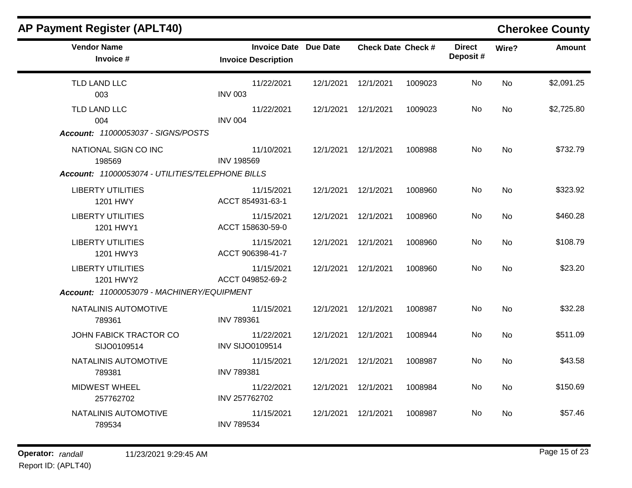| <b>AP Payment Register (APLT40)</b>              |                                                            |           |                           |         |                           |           | <b>Cherokee County</b> |
|--------------------------------------------------|------------------------------------------------------------|-----------|---------------------------|---------|---------------------------|-----------|------------------------|
| <b>Vendor Name</b><br>Invoice #                  | <b>Invoice Date Due Date</b><br><b>Invoice Description</b> |           | <b>Check Date Check #</b> |         | <b>Direct</b><br>Deposit# | Wire?     | <b>Amount</b>          |
| TLD LAND LLC<br>003                              | 11/22/2021<br><b>INV 003</b>                               |           | 12/1/2021  12/1/2021      | 1009023 | No                        | <b>No</b> | \$2,091.25             |
| TLD LAND LLC<br>004                              | 11/22/2021<br><b>INV 004</b>                               | 12/1/2021 | 12/1/2021                 | 1009023 | No                        | <b>No</b> | \$2,725.80             |
| Account: 11000053037 - SIGNS/POSTS               |                                                            |           |                           |         |                           |           |                        |
| NATIONAL SIGN CO INC<br>198569                   | 11/10/2021<br><b>INV 198569</b>                            |           | 12/1/2021  12/1/2021      | 1008988 | No                        | <b>No</b> | \$732.79               |
| Account: 11000053074 - UTILITIES/TELEPHONE BILLS |                                                            |           |                           |         |                           |           |                        |
| <b>LIBERTY UTILITIES</b><br>1201 HWY             | 11/15/2021<br>ACCT 854931-63-1                             |           | 12/1/2021  12/1/2021      | 1008960 | No                        | <b>No</b> | \$323.92               |
| <b>LIBERTY UTILITIES</b><br>1201 HWY1            | 11/15/2021<br>ACCT 158630-59-0                             |           | 12/1/2021  12/1/2021      | 1008960 | No                        | <b>No</b> | \$460.28               |
| <b>LIBERTY UTILITIES</b><br>1201 HWY3            | 11/15/2021<br>ACCT 906398-41-7                             | 12/1/2021 | 12/1/2021                 | 1008960 | No                        | No        | \$108.79               |
| <b>LIBERTY UTILITIES</b><br>1201 HWY2            | 11/15/2021<br>ACCT 049852-69-2                             | 12/1/2021 | 12/1/2021                 | 1008960 | No.                       | <b>No</b> | \$23.20                |
| Account: 11000053079 - MACHINERY/EQUIPMENT       |                                                            |           |                           |         |                           |           |                        |
| NATALINIS AUTOMOTIVE<br>789361                   | 11/15/2021<br><b>INV 789361</b>                            | 12/1/2021 | 12/1/2021                 | 1008987 | No                        | <b>No</b> | \$32.28                |
| JOHN FABICK TRACTOR CO<br>SIJO0109514            | 11/22/2021<br><b>INV SIJO0109514</b>                       | 12/1/2021 | 12/1/2021                 | 1008944 | No.                       | <b>No</b> | \$511.09               |
| NATALINIS AUTOMOTIVE<br>789381                   | 11/15/2021<br><b>INV 789381</b>                            | 12/1/2021 | 12/1/2021                 | 1008987 | No                        | <b>No</b> | \$43.58                |
| <b>MIDWEST WHEEL</b><br>257762702                | 11/22/2021<br>INV 257762702                                |           | 12/1/2021  12/1/2021      | 1008984 | No                        | <b>No</b> | \$150.69               |
| NATALINIS AUTOMOTIVE<br>789534                   | 11/15/2021<br><b>INV 789534</b>                            |           | 12/1/2021  12/1/2021      | 1008987 | No.                       | No        | \$57.46                |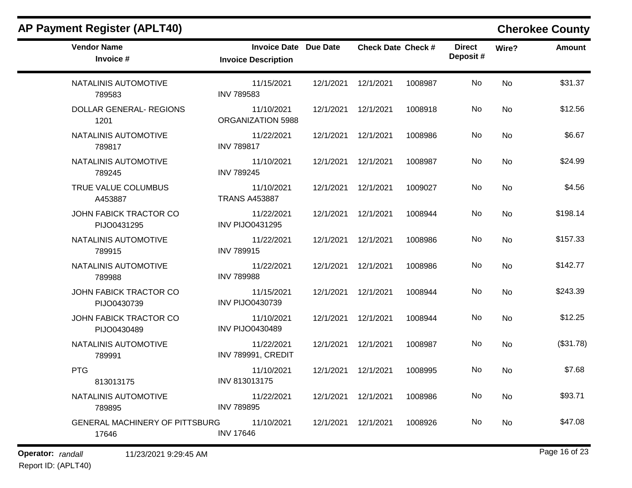| <b>Vendor Name</b><br>Invoice #                | Invoice Date Due Date<br><b>Invoice Description</b> |                      | <b>Check Date Check #</b> |         | <b>Direct</b><br>Deposit# | Wire?     | Amount    |
|------------------------------------------------|-----------------------------------------------------|----------------------|---------------------------|---------|---------------------------|-----------|-----------|
| NATALINIS AUTOMOTIVE<br>789583                 | 11/15/2021<br><b>INV 789583</b>                     | 12/1/2021  12/1/2021 |                           | 1008987 | No                        | <b>No</b> | \$31.37   |
| DOLLAR GENERAL- REGIONS<br>1201                | 11/10/2021<br>ORGANIZATION 5988                     | 12/1/2021  12/1/2021 |                           | 1008918 | No.                       | <b>No</b> | \$12.56   |
| NATALINIS AUTOMOTIVE<br>789817                 | 11/22/2021<br><b>INV 789817</b>                     | 12/1/2021  12/1/2021 |                           | 1008986 | No                        | <b>No</b> | \$6.67    |
| NATALINIS AUTOMOTIVE<br>789245                 | 11/10/2021<br><b>INV 789245</b>                     | 12/1/2021  12/1/2021 |                           | 1008987 | No                        | <b>No</b> | \$24.99   |
| TRUE VALUE COLUMBUS<br>A453887                 | 11/10/2021<br><b>TRANS A453887</b>                  | 12/1/2021  12/1/2021 |                           | 1009027 | No.                       | <b>No</b> | \$4.56    |
| JOHN FABICK TRACTOR CO<br>PIJO0431295          | 11/22/2021<br><b>INV PIJO0431295</b>                | 12/1/2021  12/1/2021 |                           | 1008944 | No                        | <b>No</b> | \$198.14  |
| NATALINIS AUTOMOTIVE<br>789915                 | 11/22/2021<br><b>INV 789915</b>                     | 12/1/2021  12/1/2021 |                           | 1008986 | No.                       | <b>No</b> | \$157.33  |
| NATALINIS AUTOMOTIVE<br>789988                 | 11/22/2021<br><b>INV 789988</b>                     | 12/1/2021  12/1/2021 |                           | 1008986 | No                        | <b>No</b> | \$142.77  |
| JOHN FABICK TRACTOR CO<br>PIJO0430739          | 11/15/2021<br><b>INV PIJO0430739</b>                | 12/1/2021  12/1/2021 |                           | 1008944 | No                        | <b>No</b> | \$243.39  |
| JOHN FABICK TRACTOR CO<br>PIJO0430489          | 11/10/2021<br><b>INV PIJO0430489</b>                | 12/1/2021  12/1/2021 |                           | 1008944 | No.                       | <b>No</b> | \$12.25   |
| NATALINIS AUTOMOTIVE<br>789991                 | 11/22/2021<br>INV 789991, CREDIT                    | 12/1/2021  12/1/2021 |                           | 1008987 | No                        | No        | (\$31.78) |
| <b>PTG</b><br>813013175                        | 11/10/2021<br>INV 813013175                         | 12/1/2021  12/1/2021 |                           | 1008995 | No                        | No        | \$7.68    |
| NATALINIS AUTOMOTIVE<br>789895                 | 11/22/2021<br><b>INV 789895</b>                     | 12/1/2021  12/1/2021 |                           | 1008986 | No.                       | <b>No</b> | \$93.71   |
| <b>GENERAL MACHINERY OF PITTSBURG</b><br>17646 | 11/10/2021<br><b>INV 17646</b>                      | 12/1/2021  12/1/2021 |                           | 1008926 | No                        | No.       | \$47.08   |

**Operator:** randall 11/23/2021 9:29:45 AM *Page 16 of 23 Page 16 of 23*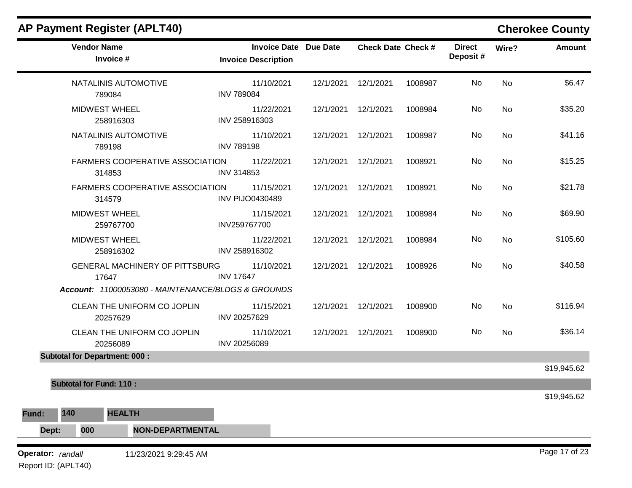| <b>Vendor Name</b><br>Invoice #<br>NATALINIS AUTOMOTIVE<br>789084<br><b>MIDWEST WHEEL</b><br>258916303<br>NATALINIS AUTOMOTIVE<br>789198<br><b>FARMERS COOPERATIVE ASSOCIATION</b><br>314853<br><b>FARMERS COOPERATIVE ASSOCIATION</b><br>314579<br><b>MIDWEST WHEEL</b> | <b>Invoice Date Due Date</b><br><b>Invoice Description</b><br>11/10/2021<br><b>INV 789084</b><br>11/22/2021<br>INV 258916303<br>11/10/2021<br><b>INV 789198</b><br>11/22/2021<br>INV 314853<br>11/15/2021<br><b>INV PIJO0430489</b> | 12/1/2021<br>12/1/2021<br>12/1/2021<br>12/1/2021<br>12/1/2021                                                                            | <b>Check Date Check #</b><br>12/1/2021<br>12/1/2021<br>12/1/2021<br>12/1/2021 | 1008987<br>1008984<br>1008987<br>1008921 | <b>Direct</b><br>Deposit#<br>No<br>No<br>No<br>No | Wire?<br><b>No</b><br><b>No</b><br><b>No</b><br><b>No</b> | <b>Amount</b><br>\$6.47 |
|--------------------------------------------------------------------------------------------------------------------------------------------------------------------------------------------------------------------------------------------------------------------------|-------------------------------------------------------------------------------------------------------------------------------------------------------------------------------------------------------------------------------------|------------------------------------------------------------------------------------------------------------------------------------------|-------------------------------------------------------------------------------|------------------------------------------|---------------------------------------------------|-----------------------------------------------------------|-------------------------|
|                                                                                                                                                                                                                                                                          |                                                                                                                                                                                                                                     |                                                                                                                                          |                                                                               |                                          |                                                   |                                                           |                         |
|                                                                                                                                                                                                                                                                          |                                                                                                                                                                                                                                     |                                                                                                                                          |                                                                               |                                          |                                                   |                                                           | \$35.20                 |
|                                                                                                                                                                                                                                                                          |                                                                                                                                                                                                                                     |                                                                                                                                          |                                                                               |                                          |                                                   |                                                           | \$41.16                 |
|                                                                                                                                                                                                                                                                          |                                                                                                                                                                                                                                     |                                                                                                                                          |                                                                               |                                          |                                                   |                                                           | \$15.25                 |
|                                                                                                                                                                                                                                                                          |                                                                                                                                                                                                                                     |                                                                                                                                          |                                                                               |                                          |                                                   |                                                           |                         |
|                                                                                                                                                                                                                                                                          |                                                                                                                                                                                                                                     |                                                                                                                                          | 12/1/2021                                                                     | 1008921                                  | No                                                | No                                                        | \$21.78                 |
| 259767700                                                                                                                                                                                                                                                                | 11/15/2021<br>INV259767700                                                                                                                                                                                                          | 12/1/2021                                                                                                                                | 12/1/2021                                                                     | 1008984                                  | No                                                | <b>No</b>                                                 | \$69.90                 |
|                                                                                                                                                                                                                                                                          | 11/22/2021<br>INV 258916302                                                                                                                                                                                                         | 12/1/2021                                                                                                                                | 12/1/2021                                                                     | 1008984                                  | No                                                | No                                                        | \$105.60                |
|                                                                                                                                                                                                                                                                          | 11/10/2021<br><b>INV 17647</b>                                                                                                                                                                                                      | 12/1/2021                                                                                                                                | 12/1/2021                                                                     | 1008926                                  | No                                                | <b>No</b>                                                 | \$40.58                 |
|                                                                                                                                                                                                                                                                          |                                                                                                                                                                                                                                     |                                                                                                                                          |                                                                               |                                          |                                                   |                                                           |                         |
|                                                                                                                                                                                                                                                                          | 11/15/2021<br>INV 20257629                                                                                                                                                                                                          | 12/1/2021                                                                                                                                | 12/1/2021                                                                     | 1008900                                  | No                                                | <b>No</b>                                                 | \$116.94                |
|                                                                                                                                                                                                                                                                          | 11/10/2021<br>INV 20256089                                                                                                                                                                                                          | 12/1/2021                                                                                                                                | 12/1/2021                                                                     | 1008900                                  | No                                                | <b>No</b>                                                 | \$36.14                 |
|                                                                                                                                                                                                                                                                          |                                                                                                                                                                                                                                     |                                                                                                                                          |                                                                               |                                          |                                                   |                                                           | \$19,945.62             |
|                                                                                                                                                                                                                                                                          |                                                                                                                                                                                                                                     |                                                                                                                                          |                                                                               |                                          |                                                   |                                                           |                         |
|                                                                                                                                                                                                                                                                          |                                                                                                                                                                                                                                     |                                                                                                                                          |                                                                               |                                          |                                                   |                                                           | \$19,945.62             |
|                                                                                                                                                                                                                                                                          |                                                                                                                                                                                                                                     |                                                                                                                                          |                                                                               |                                          |                                                   |                                                           |                         |
|                                                                                                                                                                                                                                                                          |                                                                                                                                                                                                                                     |                                                                                                                                          |                                                                               |                                          |                                                   |                                                           |                         |
| 000                                                                                                                                                                                                                                                                      | <b>MIDWEST WHEEL</b><br>258916302<br>17647<br>CLEAN THE UNIFORM CO JOPLIN<br>20257629<br>CLEAN THE UNIFORM CO JOPLIN<br>20256089<br><b>Subtotal for Department: 000:</b><br><b>Subtotal for Fund: 110:</b><br><b>HEALTH</b>         | GENERAL MACHINERY OF PITTSBURG<br>Account: 11000053080 - MAINTENANCE/BLDGS & GROUNDS<br><b>NON-DEPARTMENTAL</b><br>11/23/2021 9:29:45 AM |                                                                               |                                          |                                                   |                                                           |                         |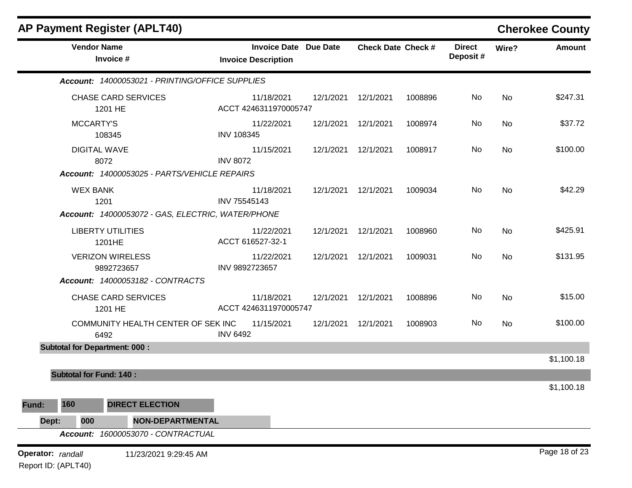|                                          |                                       | <b>AP Payment Register (APLT40)</b>               |                                                            |           |                           |         |                           |       | <b>Cherokee County</b> |
|------------------------------------------|---------------------------------------|---------------------------------------------------|------------------------------------------------------------|-----------|---------------------------|---------|---------------------------|-------|------------------------|
|                                          | <b>Vendor Name</b><br>Invoice #       |                                                   | <b>Invoice Date Due Date</b><br><b>Invoice Description</b> |           | <b>Check Date Check #</b> |         | <b>Direct</b><br>Deposit# | Wire? | <b>Amount</b>          |
|                                          |                                       | Account: 14000053021 - PRINTING/OFFICE SUPPLIES   |                                                            |           |                           |         |                           |       |                        |
|                                          | <b>CHASE CARD SERVICES</b><br>1201 HE |                                                   | 11/18/2021<br>ACCT 4246311970005747                        | 12/1/2021 | 12/1/2021                 | 1008896 | No                        | No    | \$247.31               |
|                                          | <b>MCCARTY'S</b><br>108345            |                                                   | 11/22/2021<br><b>INV 108345</b>                            | 12/1/2021 | 12/1/2021                 | 1008974 | No                        | No    | \$37.72                |
|                                          | <b>DIGITAL WAVE</b><br>8072           |                                                   | 11/15/2021<br><b>INV 8072</b>                              | 12/1/2021 | 12/1/2021                 | 1008917 | No                        | No    | \$100.00               |
|                                          |                                       | Account: 14000053025 - PARTS/VEHICLE REPAIRS      |                                                            |           |                           |         |                           |       |                        |
|                                          | <b>WEX BANK</b><br>1201               |                                                   | 11/18/2021<br>INV 75545143                                 | 12/1/2021 | 12/1/2021                 | 1009034 | No                        | No    | \$42.29                |
|                                          |                                       | Account: 14000053072 - GAS, ELECTRIC, WATER/PHONE |                                                            |           |                           |         |                           |       |                        |
|                                          | <b>LIBERTY UTILITIES</b><br>1201HE    |                                                   | 11/22/2021<br>ACCT 616527-32-1                             | 12/1/2021 | 12/1/2021                 | 1008960 | No                        | No    | \$425.91               |
|                                          | <b>VERIZON WIRELESS</b><br>9892723657 |                                                   | 11/22/2021<br>INV 9892723657                               | 12/1/2021 | 12/1/2021                 | 1009031 | No                        | No    | \$131.95               |
|                                          |                                       | Account: 14000053182 - CONTRACTS                  |                                                            |           |                           |         |                           |       |                        |
|                                          | <b>CHASE CARD SERVICES</b><br>1201 HE |                                                   | 11/18/2021<br>ACCT 4246311970005747                        | 12/1/2021 | 12/1/2021                 | 1008896 | No                        | No    | \$15.00                |
|                                          | 6492                                  | COMMUNITY HEALTH CENTER OF SEK INC                | 11/15/2021<br><b>INV 6492</b>                              | 12/1/2021 | 12/1/2021                 | 1008903 | No                        | No    | \$100.00               |
|                                          | <b>Subtotal for Department: 000:</b>  |                                                   |                                                            |           |                           |         |                           |       |                        |
|                                          |                                       |                                                   |                                                            |           |                           |         |                           |       | \$1,100.18             |
|                                          | <b>Subtotal for Fund: 140:</b>        |                                                   |                                                            |           |                           |         |                           |       | \$1,100.18             |
| Fund:                                    | 160                                   | <b>DIRECT ELECTION</b>                            |                                                            |           |                           |         |                           |       |                        |
| Dept:                                    | 000                                   | NON-DEPARTMENTAL                                  |                                                            |           |                           |         |                           |       |                        |
|                                          | <b>Account:</b>                       | 16000053070 - CONTRACTUAL                         |                                                            |           |                           |         |                           |       |                        |
| Operator: randall<br>Report ID: (APLT40) |                                       | 11/23/2021 9:29:45 AM                             |                                                            |           |                           |         |                           |       | Page 18 of 23          |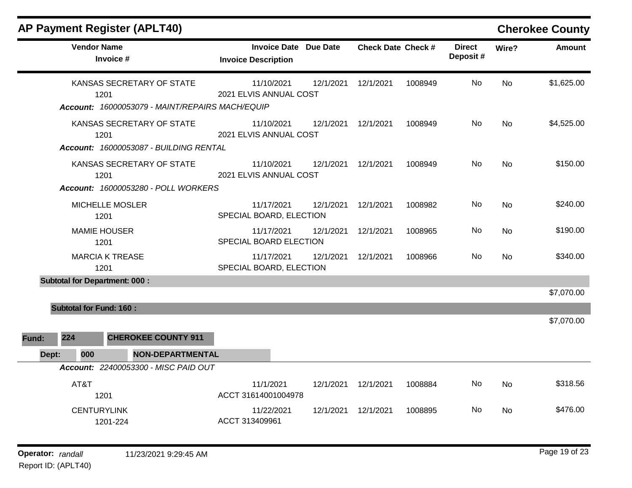| <b>AP Payment Register (APLT40)</b>                                                  |                                                            |           |                           |         |                           |           | <b>Cherokee County</b> |
|--------------------------------------------------------------------------------------|------------------------------------------------------------|-----------|---------------------------|---------|---------------------------|-----------|------------------------|
| <b>Vendor Name</b><br>Invoice #                                                      | <b>Invoice Date Due Date</b><br><b>Invoice Description</b> |           | <b>Check Date Check #</b> |         | <b>Direct</b><br>Deposit# | Wire?     | <b>Amount</b>          |
| KANSAS SECRETARY OF STATE<br>1201<br>Account: 16000053079 - MAINT/REPAIRS MACH/EQUIP | 11/10/2021<br>2021 ELVIS ANNUAL COST                       | 12/1/2021 | 12/1/2021                 | 1008949 | No                        | <b>No</b> | \$1,625.00             |
| KANSAS SECRETARY OF STATE<br>1201<br>Account: 16000053087 - BUILDING RENTAL          | 11/10/2021<br>2021 ELVIS ANNUAL COST                       | 12/1/2021 | 12/1/2021                 | 1008949 | No                        | <b>No</b> | \$4,525.00             |
| KANSAS SECRETARY OF STATE<br>1201<br><b>Account: 16000053280 - POLL WORKERS</b>      | 11/10/2021<br>2021 ELVIS ANNUAL COST                       | 12/1/2021 | 12/1/2021                 | 1008949 | No.                       | <b>No</b> | \$150.00               |
| <b>MICHELLE MOSLER</b><br>1201                                                       | 11/17/2021<br>SPECIAL BOARD, ELECTION                      | 12/1/2021 | 12/1/2021                 | 1008982 | No.                       | <b>No</b> | \$240.00               |
| <b>MAMIE HOUSER</b><br>1201                                                          | 11/17/2021<br>SPECIAL BOARD ELECTION                       | 12/1/2021 | 12/1/2021                 | 1008965 | No                        | No        | \$190.00               |
| <b>MARCIA K TREASE</b><br>1201                                                       | 11/17/2021<br>SPECIAL BOARD, ELECTION                      | 12/1/2021 | 12/1/2021                 | 1008966 | No                        | <b>No</b> | \$340.00               |
| <b>Subtotal for Department: 000:</b>                                                 |                                                            |           |                           |         |                           |           | \$7,070.00             |
| <b>Subtotal for Fund: 160:</b>                                                       |                                                            |           |                           |         |                           |           |                        |
| 224<br><b>CHEROKEE COUNTY 911</b><br>Fund:                                           |                                                            |           |                           |         |                           |           | \$7,070.00             |
| <b>NON-DEPARTMENTAL</b><br>Dept:<br>000                                              |                                                            |           |                           |         |                           |           |                        |
| Account: 22400053300 - MISC PAID OUT                                                 |                                                            |           |                           |         |                           |           |                        |
| AT&T<br>1201                                                                         | 11/1/2021<br>ACCT 31614001004978                           | 12/1/2021 | 12/1/2021                 | 1008884 | No                        | <b>No</b> | \$318.56               |
| <b>CENTURYLINK</b><br>1201-224                                                       | 11/22/2021<br>ACCT 313409961                               | 12/1/2021 | 12/1/2021                 | 1008895 | No.                       | No        | \$476.00               |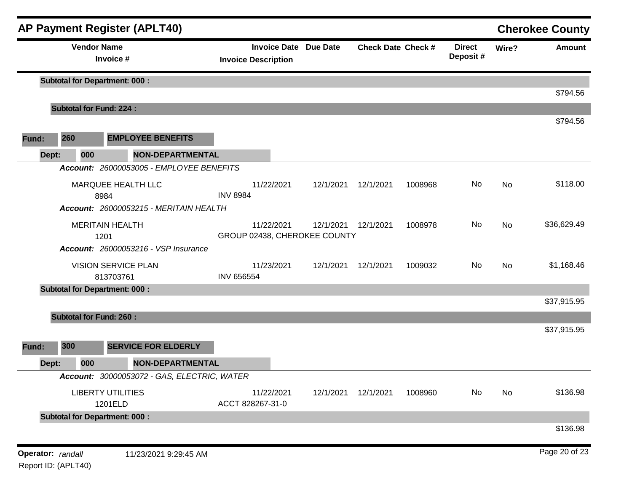|                   |     | <b>AP Payment Register (APLT40)</b>         |                                                            |                      |                           |         |                           |       | <b>Cherokee County</b> |
|-------------------|-----|---------------------------------------------|------------------------------------------------------------|----------------------|---------------------------|---------|---------------------------|-------|------------------------|
|                   |     | <b>Vendor Name</b><br>Invoice #             | <b>Invoice Date Due Date</b><br><b>Invoice Description</b> |                      | <b>Check Date Check #</b> |         | <b>Direct</b><br>Deposit# | Wire? | <b>Amount</b>          |
|                   |     | <b>Subtotal for Department: 000:</b>        |                                                            |                      |                           |         |                           |       | \$794.56               |
|                   |     | <b>Subtotal for Fund: 224:</b>              |                                                            |                      |                           |         |                           |       |                        |
| Fund:             | 260 | <b>EMPLOYEE BENEFITS</b>                    |                                                            |                      |                           |         |                           |       | \$794.56               |
|                   |     |                                             |                                                            |                      |                           |         |                           |       |                        |
| Dept:             | 000 | <b>NON-DEPARTMENTAL</b>                     |                                                            |                      |                           |         |                           |       |                        |
|                   |     | Account: 26000053005 - EMPLOYEE BENEFITS    |                                                            |                      |                           |         |                           |       |                        |
|                   |     | MARQUEE HEALTH LLC<br>8984                  | 11/22/2021<br><b>INV 8984</b>                              | 12/1/2021            | 12/1/2021                 | 1008968 | No                        | No    | \$118.00               |
|                   |     | Account: 26000053215 - MERITAIN HEALTH      |                                                            |                      |                           |         |                           |       |                        |
|                   |     | <b>MERITAIN HEALTH</b><br>1201              | 11/22/2021<br>GROUP 02438, CHEROKEE COUNTY                 | 12/1/2021            | 12/1/2021                 | 1008978 | No                        | No    | \$36,629.49            |
|                   |     | <b>Account: 26000053216 - VSP Insurance</b> |                                                            |                      |                           |         |                           |       |                        |
|                   |     | <b>VISION SERVICE PLAN</b><br>813703761     | 11/23/2021<br><b>INV 656554</b>                            | 12/1/2021  12/1/2021 |                           | 1009032 | No                        | No    | \$1,168.46             |
|                   |     | <b>Subtotal for Department: 000:</b>        |                                                            |                      |                           |         |                           |       |                        |
|                   |     |                                             |                                                            |                      |                           |         |                           |       | \$37,915.95            |
|                   |     | <b>Subtotal for Fund: 260:</b>              |                                                            |                      |                           |         |                           |       |                        |
|                   |     |                                             |                                                            |                      |                           |         |                           |       | \$37,915.95            |
| Fund:             | 300 | <b>SERVICE FOR ELDERLY</b>                  |                                                            |                      |                           |         |                           |       |                        |
| Dept:             | 000 | <b>NON-DEPARTMENTAL</b>                     |                                                            |                      |                           |         |                           |       |                        |
|                   |     | Account: 30000053072 - GAS, ELECTRIC, WATER |                                                            |                      |                           |         |                           |       |                        |
|                   |     | <b>LIBERTY UTILITIES</b><br>1201ELD         | 11/22/2021<br>ACCT 828267-31-0                             | 12/1/2021            | 12/1/2021                 | 1008960 | No                        | No    | \$136.98               |
|                   |     | <b>Subtotal for Department: 000:</b>        |                                                            |                      |                           |         |                           |       |                        |
|                   |     |                                             |                                                            |                      |                           |         |                           |       | \$136.98               |
| Operator: randall |     | 11/23/2021 9:29:45 AM                       |                                                            |                      |                           |         |                           |       | Page 20 of 23          |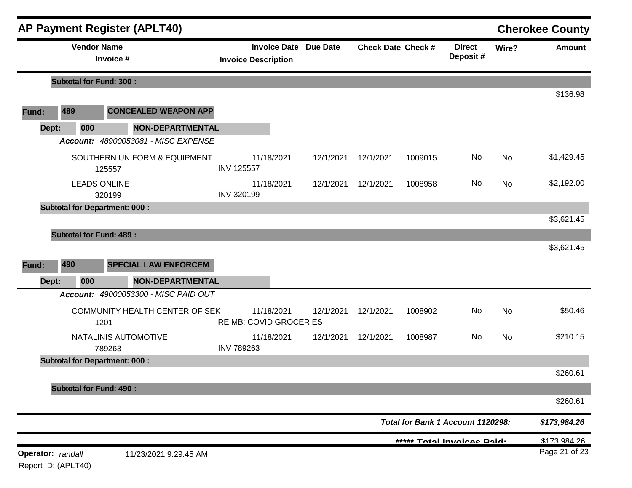|                                          |                                | <b>AP Payment Register (APLT40)</b>                    |                                                            |           |                           |         |                                   |           | <b>Cherokee County</b> |
|------------------------------------------|--------------------------------|--------------------------------------------------------|------------------------------------------------------------|-----------|---------------------------|---------|-----------------------------------|-----------|------------------------|
|                                          | <b>Vendor Name</b>             | Invoice #                                              | <b>Invoice Date Due Date</b><br><b>Invoice Description</b> |           | <b>Check Date Check #</b> |         | <b>Direct</b><br>Deposit#         | Wire?     | <b>Amount</b>          |
|                                          | <b>Subtotal for Fund: 300:</b> |                                                        |                                                            |           |                           |         |                                   |           |                        |
| Fund:                                    | 489                            | <b>CONCEALED WEAPON APP</b>                            |                                                            |           |                           |         |                                   |           | \$136.98               |
| Dept:                                    | 000                            | <b>NON-DEPARTMENTAL</b>                                |                                                            |           |                           |         |                                   |           |                        |
|                                          |                                | Account: 48900053081 - MISC EXPENSE                    |                                                            |           |                           |         |                                   |           |                        |
|                                          |                                | SOUTHERN UNIFORM & EQUIPMENT<br>125557                 | 11/18/2021<br><b>INV 125557</b>                            | 12/1/2021 | 12/1/2021                 | 1009015 | No                                | No        | \$1,429.45             |
|                                          | <b>LEADS ONLINE</b>            | 320199                                                 | 11/18/2021<br><b>INV 320199</b>                            | 12/1/2021 | 12/1/2021                 | 1008958 | No                                | <b>No</b> | \$2,192.00             |
|                                          |                                | <b>Subtotal for Department: 000:</b>                   |                                                            |           |                           |         |                                   |           | \$3,621.45             |
| Fund:<br>Dept:                           | 490<br>000                     | <b>SPECIAL LAW ENFORCEM</b><br><b>NON-DEPARTMENTAL</b> |                                                            |           |                           |         |                                   |           | \$3,621.45             |
|                                          |                                | Account: 49000053300 - MISC PAID OUT                   |                                                            |           |                           |         |                                   |           |                        |
|                                          |                                | COMMUNITY HEALTH CENTER OF SEK<br>1201                 | 11/18/2021<br>REIMB; COVID GROCERIES                       | 12/1/2021 | 12/1/2021                 | 1008902 | No                                | No        | \$50.46                |
|                                          |                                | NATALINIS AUTOMOTIVE<br>789263                         | 11/18/2021<br><b>INV 789263</b>                            | 12/1/2021 | 12/1/2021                 | 1008987 | No                                | <b>No</b> | \$210.15               |
|                                          |                                | <b>Subtotal for Department: 000:</b>                   |                                                            |           |                           |         |                                   |           |                        |
|                                          |                                |                                                        |                                                            |           |                           |         |                                   |           | \$260.61               |
|                                          | <b>Subtotal for Fund: 490:</b> |                                                        |                                                            |           |                           |         |                                   |           | \$260.61               |
|                                          |                                |                                                        |                                                            |           |                           |         | Total for Bank 1 Account 1120298: |           | \$173,984.26           |
|                                          |                                |                                                        |                                                            |           |                           |         | ***** Total Invoices Paid.        |           | \$173.984.26           |
| Operator: randall<br>Report ID: (APLT40) |                                | 11/23/2021 9:29:45 AM                                  |                                                            |           |                           |         |                                   |           | Page 21 of 23          |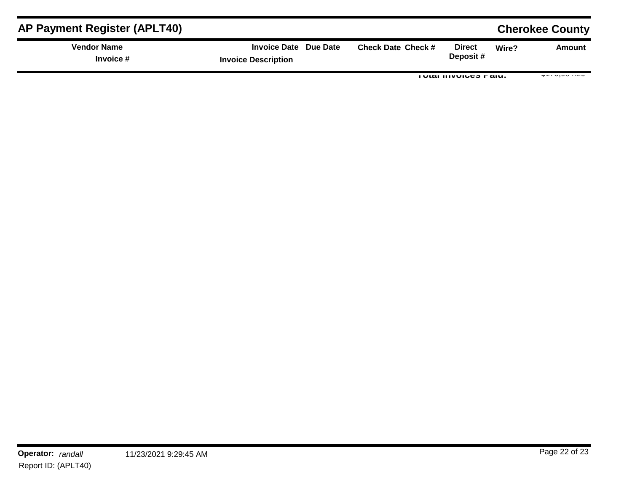| <b>AP Payment Register (APLT40)</b> |                                                     |                           |                                |       | <b>Cherokee County</b>              |
|-------------------------------------|-----------------------------------------------------|---------------------------|--------------------------------|-------|-------------------------------------|
| <b>Vendor Name</b><br>Invoice #     | Invoice Date Due Date<br><b>Invoice Description</b> | <b>Check Date Check #</b> | <b>Direct</b><br>Deposit#      | Wire? | Amount                              |
|                                     |                                                     |                           | <b>I VIAI IIIVVIUTO I AIU.</b> |       | $v \cdot v \cdot v \cdot v \cdot w$ |